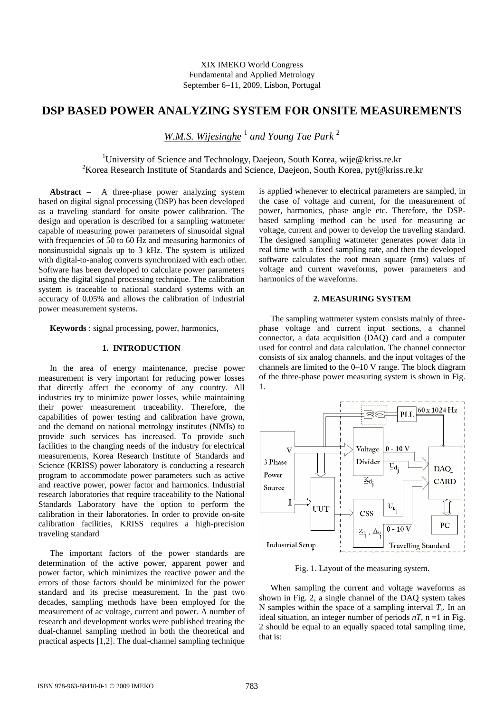# **DSP BASED POWER ANALYZING SYSTEM FOR ONSITE MEASUREMENTS**

*W.M.S. Wijesinghe* <sup>1</sup> *and Young Tae Park* <sup>2</sup>

<sup>1</sup>University of Science and Technology, Daejeon, South Korea, wije@kriss.re.kr <sup>2</sup>Korea Research Institute of Standards and Science, Daejeon, South Korea, pyt@kriss.re.kr

**Abstract** − A three-phase power analyzing system based on digital signal processing (DSP) has been developed as a traveling standard for onsite power calibration. The design and operation is described for a sampling wattmeter capable of measuring power parameters of sinusoidal signal with frequencies of 50 to 60 Hz and measuring harmonics of nonsinusoidal signals up to 3 kHz. The system is utilized with digital-to-analog converts synchronized with each other. Software has been developed to calculate power parameters using the digital signal processing technique. The calibration system is traceable to national standard systems with an accuracy of 0.05% and allows the calibration of industrial power measurement systems.

**Keywords** : signal processing, power, harmonics,

## **1. INTRODUCTION**

In the area of energy maintenance, precise power measurement is very important for reducing power losses that directly affect the economy of any country. All industries try to minimize power losses, while maintaining their power measurement traceability. Therefore, the capabilities of power testing and calibration have grown, and the demand on national metrology institutes (NMIs) to provide such services has increased. To provide such facilities to the changing needs of the industry for electrical measurements, Korea Research Institute of Standards and Science (KRISS) power laboratory is conducting a research program to accommodate power parameters such as active and reactive power, power factor and harmonics. Industrial research laboratories that require traceability to the National Standards Laboratory have the option to perform the calibration in their laboratories. In order to provide on-site calibration facilities, KRISS requires a high-precision traveling standard

The important factors of the power standards are determination of the active power, apparent power and power factor, which minimizes the reactive power and the errors of those factors should be minimized for the power standard and its precise measurement. In the past two decades, sampling methods have been employed for the measurement of ac voltage, current and power. A number of research and development works were published treating the dual-channel sampling method in both the theoretical and practical aspects [1,2]. The dual-channel sampling technique

is applied whenever to electrical parameters are sampled, in the case of voltage and current, for the measurement of power, harmonics, phase angle etc. Therefore, the DSPbased sampling method can be used for measuring ac voltage, current and power to develop the traveling standard. The designed sampling wattmeter generates power data in real time with a fixed sampling rate, and then the developed software calculates the root mean square (rms) values of voltage and current waveforms, power parameters and harmonics of the waveforms.

#### **2. MEASURING SYSTEM**

The sampling wattmeter system consists mainly of threephase voltage and current input sections, a channel connector, a data acquisition (DAQ) card and a computer used for control and data calculation. The channel connector consists of six analog channels, and the input voltages of the channels are limited to the 0–10 V range. The block diagram of the three-phase power measuring system is shown in Fig. 1.



Fig. 1. Layout of the measuring system.

When sampling the current and voltage waveforms as shown in Fig. 2, a single channel of the DAQ system takes N samples within the space of a sampling interval  $T<sub>s</sub>$ . In an ideal situation, an integer number of periods  $nT$ ,  $n = 1$  in Fig. 2 should be equal to an equally spaced total sampling time, that is: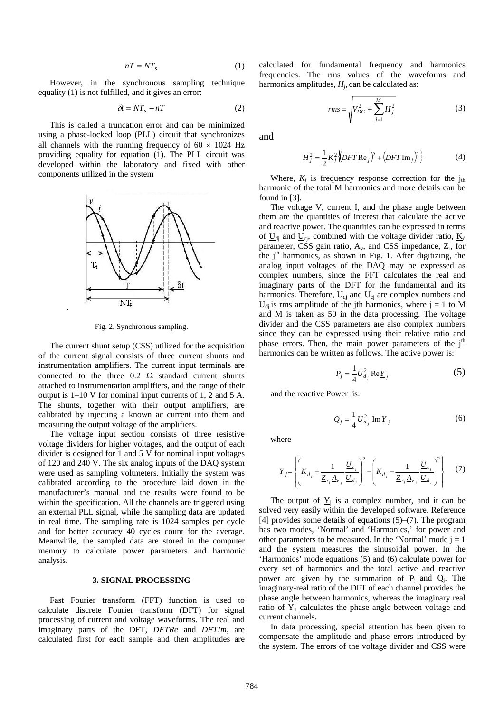$$
n = NT_{s} \tag{1}
$$

However, in the synchronous sampling technique equality (1) is not fulfilled, and it gives an error:

$$
\delta t = NT_s - nT \tag{2}
$$

This is called a truncation error and can be minimized using a phase-locked loop (PLL) circuit that synchronizes all channels with the running frequency of  $60 \times 1024$  Hz providing equality for equation (1). The PLL circuit was developed within the laboratory and fixed with other components utilized in the system



Fig. 2. Synchronous sampling.

.

The current shunt setup (CSS) utilized for the acquisition of the current signal consists of three current shunts and instrumentation amplifiers. The current input terminals are connected to the three  $0.2 \Omega$  standard current shunts attached to instrumentation amplifiers, and the range of their output is 1–10 V for nominal input currents of 1, 2 and 5 A. The shunts, together with their output amplifiers, are calibrated by injecting a known ac current into them and measuring the output voltage of the amplifiers.

The voltage input section consists of three resistive voltage dividers for higher voltages, and the output of each divider is designed for 1 and 5 V for nominal input voltages of 120 and 240 V. The six analog inputs of the DAQ system were used as sampling voltmeters. Initially the system was calibrated according to the procedure laid down in the manufacturer's manual and the results were found to be within the specification. All the channels are triggered using an external PLL signal, while the sampling data are updated in real time. The sampling rate is 1024 samples per cycle and for better accuracy 40 cycles count for the average. Meanwhile, the sampled data are stored in the computer memory to calculate power parameters and harmonic analysis.

#### **3. SIGNAL PROCESSING**

Fast Fourier transform (FFT) function is used to calculate discrete Fourier transform (DFT) for signal processing of current and voltage waveforms. The real and imaginary parts of the DFT, *DFTRe* and *DFTIm*, are calculated first for each sample and then amplitudes are calculated for fundamental frequency and harmonics frequencies. The rms values of the waveforms and harmonics amplitudes,  $H<sub>i</sub>$ , can be calculated as:

$$
rms = \sqrt{V_{DC}^2 + \sum_{j=1}^{M} H_j^2}
$$
 (3)

and

$$
H_j^2 = \frac{1}{2} K_j^2 \Big( DFT \text{Re}_j \Big) + ( DFT \text{Im}_j)^2 \Big\}
$$
 (4)

Where,  $K_j$  is frequency response correction for the  $j<sub>th</sub>$ harmonic of the total M harmonics and more details can be found in [3].

The voltage  $\underline{V}$ , current  $\underline{I}$ , and the phase angle between them are the quantities of interest that calculate the active and reactive power. The quantities can be expressed in terms of  $U_{di}$  and  $U_{ci}$ , combined with the voltage divider ratio,  $K_d$ parameter, CSS gain ratio,  $\underline{A}_v$ , and CSS impedance,  $\underline{Z}_r$ , for the  $j<sup>th</sup>$  harmonics, as shown in Fig. 1. After digitizing, the analog input voltages of the DAQ may be expressed as complex numbers, since the FFT calculates the real and imaginary parts of the DFT for the fundamental and its harmonics. Therefore,  $\underline{U}_{di}$  and  $\underline{U}_{ci}$  are complex numbers and  $U_{di}$  is rms amplitude of the jth harmonics, where  $j = 1$  to M and M is taken as 50 in the data processing. The voltage divider and the CSS parameters are also complex numbers since they can be expressed using their relative ratio and phase errors. Then, the main power parameters of the  $j<sup>th</sup>$ harmonics can be written as follows. The active power is:

$$
P_j = \frac{1}{4} U_{d_j}^2 \operatorname{Re} Y_j \tag{5}
$$

and the reactive Power is:

$$
Q_j = \frac{1}{4} U_{d_j}^2 \operatorname{Im} \underline{Y}_j \tag{6}
$$

where

$$
\underline{Y}_{j} = \left\{ \left( \underline{K}_{d_{j}} + \frac{1}{\underline{Z}_{r_{j}} \underline{A}_{v_{j}}} \frac{\underline{U}_{c_{j}}}{\underline{U}_{d_{j}}} \right)^{2} - \left( \underline{K}_{d_{j}} - \frac{1}{\underline{Z}_{r_{j}} \underline{A}_{v_{j}}} \frac{\underline{U}_{c_{j}}}{\underline{U}_{d_{j}}} \right)^{2} \right\} \qquad (7)
$$

The output of  $\underline{Y}_j$  is a complex number, and it can be solved very easily within the developed software. Reference [4] provides some details of equations (5)–(7). The program has two modes, 'Normal' and 'Harmonics,' for power and other parameters to be measured. In the 'Normal' mode  $j = 1$ and the system measures the sinusoidal power. In the 'Harmonics' mode equations (5) and (6) calculate power for every set of harmonics and the total active and reactive power are given by the summation of  $P_i$  and  $Q_i$ . The imaginary-real ratio of the DFT of each channel provides the phase angle between harmonics, whereas the imaginary real ratio of  $\underline{Y}_1$  calculates the phase angle between voltage and current channels.

In data processing, special attention has been given to compensate the amplitude and phase errors introduced by the system. The errors of the voltage divider and CSS were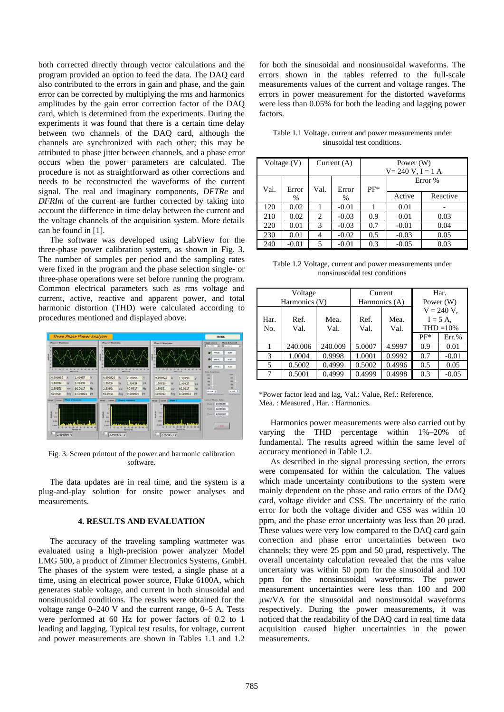both corrected directly through vector calculations and the program provided an option to feed the data. The DAQ card also contributed to the errors in gain and phase, and the gain error can be corrected by multiplying the rms and harmonics amplitudes by the gain error correction factor of the DAQ card, which is determined from the experiments. During the experiments it was found that there is a certain time delay between two channels of the DAQ card, although the channels are synchronized with each other; this may be attributed to phase jitter between channels, and a phase error occurs when the power parameters are calculated. The procedure is not as straightforward as other corrections and needs to be reconstructed the waveforms of the current signal. The real and imaginary components, *DFTRe* and *DFRIm* of the current are further corrected by taking into account the difference in time delay between the current and the voltage channels of the acquisition system. More details can be found in [1].

The software was developed using LabView for the three-phase power calibration system, as shown in Fig. 3. The number of samples per period and the sampling rates were fixed in the program and the phase selection single- or three-phase operations were set before running the program. Common electrical parameters such as rms voltage and current, active, reactive and apparent power, and total harmonic distortion (THD) were calculated according to procedures mentioned and displayed above.



Fig. 3. Screen printout of the power and harmonic calibration software.

The data updates are in real time, and the system is a plug-and-play solution for onsite power analyses and measurements.

## **4. RESULTS AND EVALUATION**

The accuracy of the traveling sampling wattmeter was evaluated using a high-precision power analyzer Model LMG 500, a product of Zimmer Electronics Systems, GmbH. The phases of the system were tested, a single phase at a time, using an electrical power source, Fluke 6100A, which generates stable voltage, and current in both sinusoidal and nonsinusoidal conditions. The results were obtained for the voltage range 0–240 V and the current range, 0–5 A. Tests were performed at 60 Hz for power factors of 0.2 to 1 leading and lagging. Typical test results, for voltage, current and power measurements are shown in Tables 1.1 and 1.2

for both the sinusoidal and nonsinusoidal waveforms. The errors shown in the tables referred to the full-scale measurements values of the current and voltage ranges. The errors in power measurement for the distorted waveforms were less than 0.05% for both the leading and lagging power factors.

| Voltage $(V)$ |         | Current $(A)$  |         | Power (W)<br>$V = 240 V, I = 1 A$ |         |          |  |
|---------------|---------|----------------|---------|-----------------------------------|---------|----------|--|
| Val.          | Error   | Val.           | Error   | $PF*$                             | Error % |          |  |
|               | %       |                | %       |                                   | Active  | Reactive |  |
| 120           | 0.02    |                | $-0.01$ |                                   | 0.01    |          |  |
| 210           | 0.02    | $\overline{c}$ | $-0.03$ | 0.9                               | 0.01    | 0.03     |  |
| 220           | 0.01    | 3              | $-0.03$ | 0.7                               | $-0.01$ | 0.04     |  |
| 230           | 0.01    | 4              | $-0.02$ | 0.5                               | $-0.03$ | 0.05     |  |
| 240           | $-0.01$ | 5              | $-0.01$ | 0.3                               | $-0.05$ | 0.03     |  |

Table 1.1 Voltage, current and power measurements under sinusoidal test conditions.

| Table 1.2 Voltage, current and power measurements under |  |  |  |  |  |  |  |
|---------------------------------------------------------|--|--|--|--|--|--|--|
| nonsinusoidal test conditions                           |  |  |  |  |  |  |  |

|             | Voltage<br>Harmonics (V) |              | Current<br>Harmonics (A) |              | Har.<br>Power $(W)$                         |          |
|-------------|--------------------------|--------------|--------------------------|--------------|---------------------------------------------|----------|
| Har.<br>No. | Ref.<br>Val.             | Mea.<br>Val. |                          | Mea.<br>Val. | $V = 240 V$ .<br>$I = 5 A$ ,<br>$THD = 10%$ |          |
|             |                          |              |                          |              | $PF*$                                       | $Err.$ % |
|             | 240,006                  | 240.009      | 5.0007                   | 4.9997       | 0.9                                         | 0.01     |
| 3           | 1.0004                   | 0.9998       | 1.0001                   | 0.9992       | 0.7                                         | $-0.01$  |
| 5           | 0.5002                   | 0.4999       | 0.5002                   | 0.4996       | 0.5                                         | 0.05     |
| 7           | 0.5001                   | 0.4999       | 0.4999                   | 0.4998       | 0.3                                         | $-0.05$  |

\*Power factor lead and lag, Val.: Value, Ref.: Reference, Mea. : Measured , Har. : Harmonics.

Harmonics power measurements were also carried out by varying the THD percentage within 1%–20% of fundamental. The results agreed within the same level of accuracy mentioned in Table 1.2.

As described in the signal processing section, the errors were compensated for within the calculation. The values which made uncertainty contributions to the system were mainly dependent on the phase and ratio errors of the DAQ card, voltage divider and CSS. The uncertainty of the ratio error for both the voltage divider and CSS was within 10 ppm, and the phase error uncertainty was less than 20 μrad. These values were very low compared to the DAQ card gain correction and phase error uncertainties between two channels; they were 25 ppm and 50 μrad, respectively. The overall uncertainty calculation revealed that the rms value uncertainty was within 50 ppm for the sinusoidal and 100 ppm for the nonsinusoidal waveforms. The power measurement uncertainties were less than 100 and 200 μw/VA for the sinusoidal and nonsinusoidal waveforms respectively. During the power measurements, it was noticed that the readability of the DAQ card in real time data acquisition caused higher uncertainties in the power measurements.